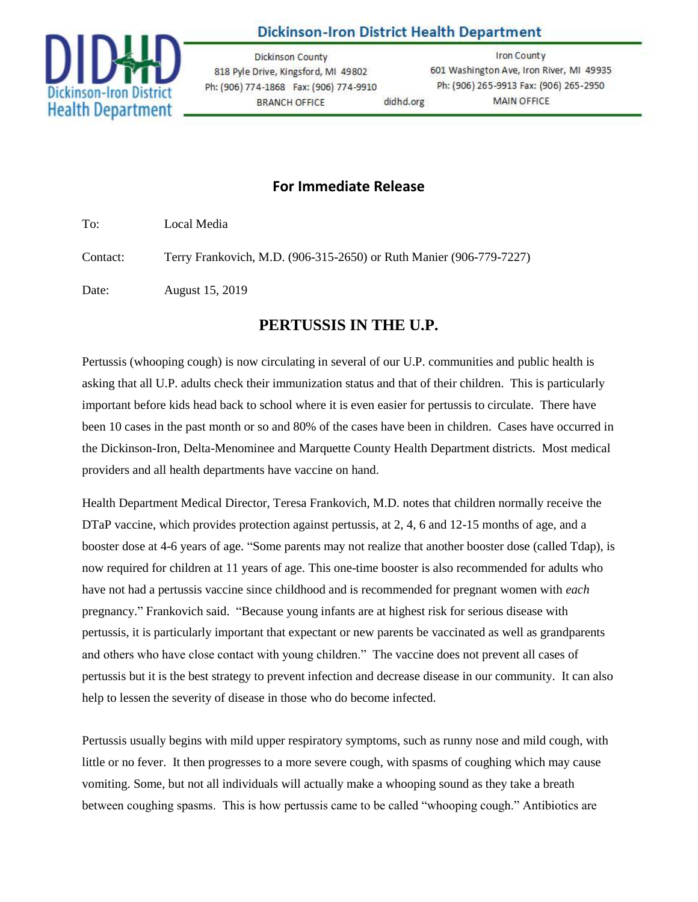

## **Dickinson-Iron District Health Department**

**Dickinson County** 818 Pyle Drive, Kingsford, MI 49802 Ph: (906) 774-1868 Fax: (906) 774-9910 **BRANCH OFFICE** didhd.org

**Iron County** 601 Washington Ave, Iron River, MI 49935 Ph: (906) 265-9913 Fax: (906) 265-2950 **MAIN OFFICE** 

## **For Immediate Release**

To: Local Media

Contact: Terry Frankovich, M.D. (906-315-2650) or Ruth Manier (906-779-7227)

Date: August 15, 2019

## **PERTUSSIS IN THE U.P.**

Pertussis (whooping cough) is now circulating in several of our U.P. communities and public health is asking that all U.P. adults check their immunization status and that of their children. This is particularly important before kids head back to school where it is even easier for pertussis to circulate. There have been 10 cases in the past month or so and 80% of the cases have been in children. Cases have occurred in the Dickinson-Iron, Delta-Menominee and Marquette County Health Department districts. Most medical providers and all health departments have vaccine on hand.

Health Department Medical Director, Teresa Frankovich, M.D. notes that children normally receive the DTaP vaccine, which provides protection against pertussis, at 2, 4, 6 and 12-15 months of age, and a booster dose at 4-6 years of age. "Some parents may not realize that another booster dose (called Tdap), is now required for children at 11 years of age. This one-time booster is also recommended for adults who have not had a pertussis vaccine since childhood and is recommended for pregnant women with *each* pregnancy." Frankovich said. "Because young infants are at highest risk for serious disease with pertussis, it is particularly important that expectant or new parents be vaccinated as well as grandparents and others who have close contact with young children." The vaccine does not prevent all cases of pertussis but it is the best strategy to prevent infection and decrease disease in our community. It can also help to lessen the severity of disease in those who do become infected.

Pertussis usually begins with mild upper respiratory symptoms, such as runny nose and mild cough, with little or no fever. It then progresses to a more severe cough, with spasms of coughing which may cause vomiting. Some, but not all individuals will actually make a whooping sound as they take a breath between coughing spasms. This is how pertussis came to be called "whooping cough." Antibiotics are